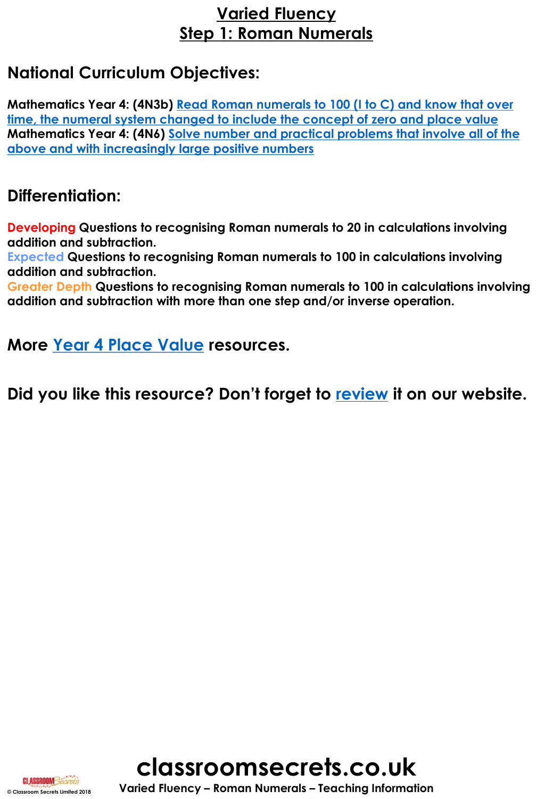# **Varied Fluency Step 1: Roman Numerals**

# **National Curriculum Objectives:**

**Mathematics Year 4: (4N3b) Read Roman numerals to 100 (I to C) and know that over [time, the numeral system changed to include the concept of zero and place value](https://classroomsecrets.co.uk/content-domain-filter/?fwp_contentdomain=4n3b) [Mathematics Year 4: \(4N6\) Solve number and practical problems that involve all of](https://classroomsecrets.co.uk/content-domain-filter/?fwp_contentdomain=4n6) the above and with increasingly large positive numbers**

## **Differentiation:**

**Developing Questions to recognising Roman numerals to 20 in calculations involving addition and subtraction.** 

**Expected Questions to recognising Roman numerals to 100 in calculations involving addition and subtraction.** 

**Greater Depth Questions to recognising Roman numerals to 100 in calculations involving addition and subtraction with more than one step and/or inverse operation.** 

**More [Year 4 Place Value](https://classroomsecrets.co.uk/category/maths/year-4/autumn-block-1-place-value-year-4/) resources.**

**Did you like this resource? Don't forget to [review](https://classroomsecrets.co.uk/roman-numerals-year-4-place-value-free-resource-pack) it on our website.**



**CLASSROOM Secrets**<br> **SClassroom Secrets Limited 2018 Varied Fluency – Roman Numerals – Teaching Information**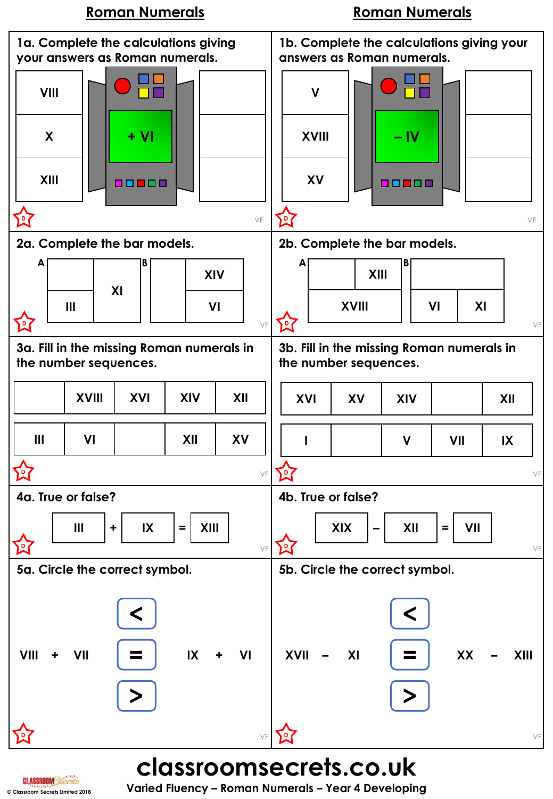## **Roman Numerals Roman Numerals**



**© Classroom Secrets Limited 2018 Varied Fluency – Roman Numerals – Year 4 Developing**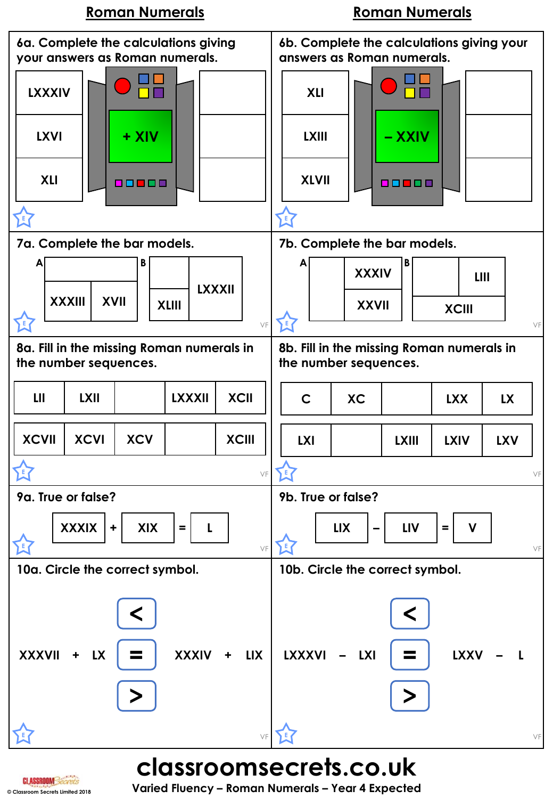## **Roman Numerals Roman Numerals**



**CLASSROOM Secrets**<br> **SCLASSROOM Secrets Limited 2018 Varied Fluency – Roman Numerals – Year 4 Expected**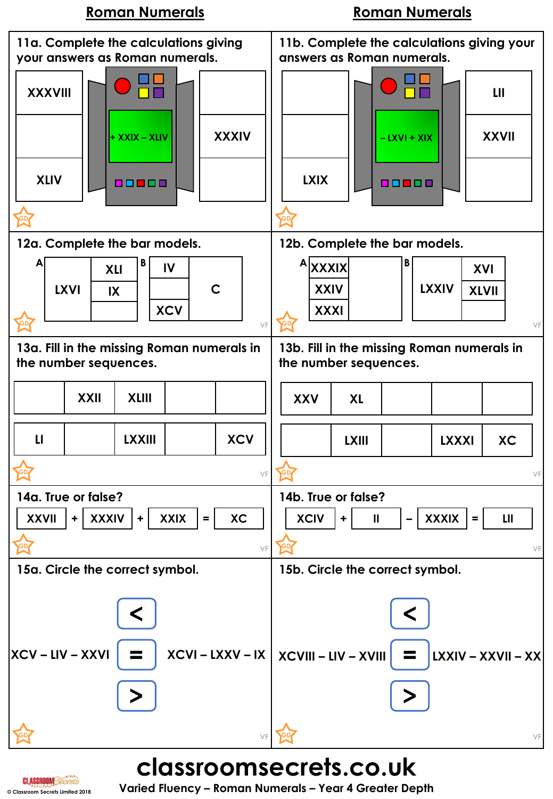## **Roman Numerals Roman Numerals**



# **© Classroom Secrets Limited 2018 Varied Fluency – Roman Numerals – Year 4 Greater Depth**